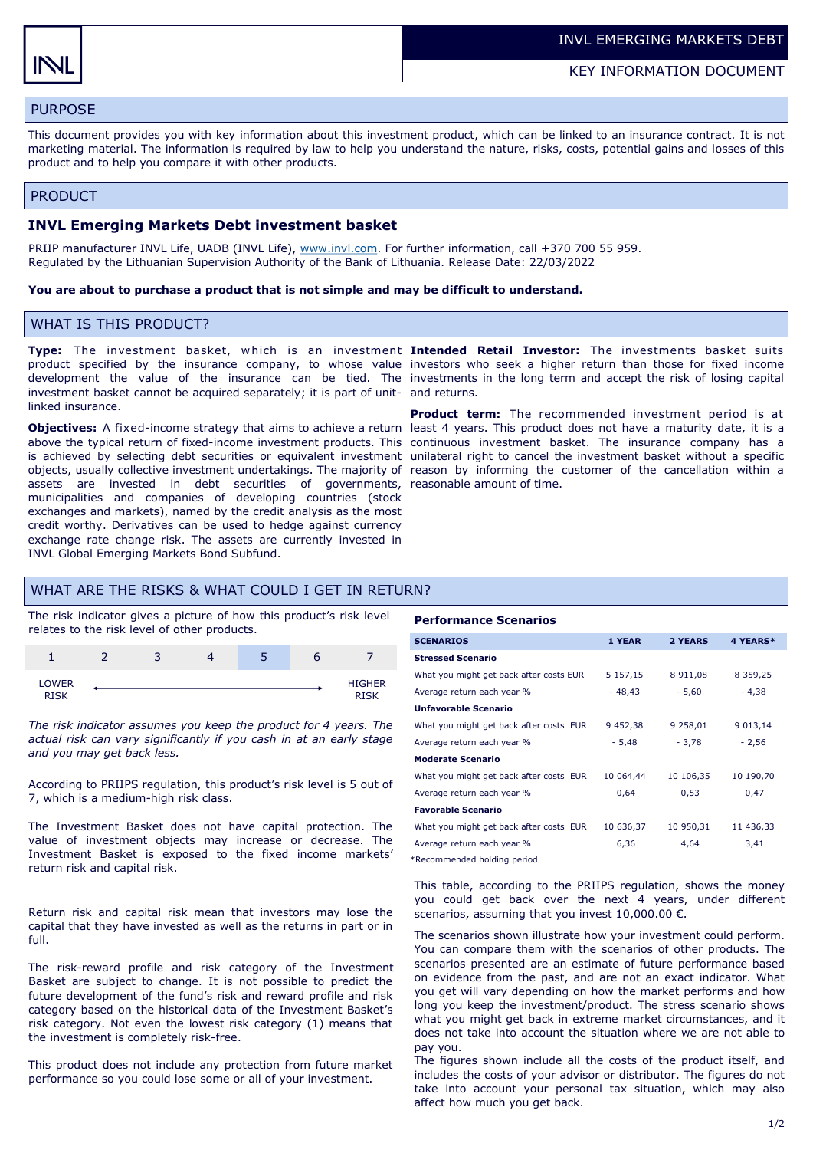# PURPOSE

This document provides you with key information about this investment product, which can be linked to an insurance contract. It is not marketing material. The information is required by law to help you understand the nature, risks, costs, potential gains and losses of this product and to help you compare it with other products.

#### PRODUCT

#### **INVL Emerging Markets Debt investment basket**

PRIIP manufacturer INVL Life, UADB (INVL Life), [www.invl.com.](http://www.invl.com) For further information, call +370 700 55 959. Regulated by the Lithuanian Supervision Authority of the Bank of Lithuania. Release Date: 22/03/2022

#### **You are about to purchase a product that is not simple and may be difficult to understand.**

### WHAT IS THIS PRODUCT?

investment basket cannot be acquired separately; it is part of unit-and returns. linked insurance.

Objectives: A fixed-income strategy that aims to achieve a return least 4 years. This product does not have a maturity date, it is a above the typical return of fixed-income investment products. This continuous investment basket. The insurance company has a is achieved by selecting debt securities or equivalent investment unilateral right to cancel the investment basket without a specific objects, usually collective investment undertakings. The majority of reason by informing the customer of the cancellation within a assets are invested in debt securities of governments, municipalities and companies of developing countries (stock exchanges and markets), named by the credit analysis as the most credit worthy. Derivatives can be used to hedge against currency exchange rate change risk. The assets are currently invested in INVL Global Emerging Markets Bond Subfund.

**Type:** The investment basket, w hich is an investment **Intended Retail Investor:** The investments basket suits product specified by the insurance company, to whose value investors who seek a higher return than those for fixed income development the value of the insurance can be tied. The investments in the long term and accept the risk of losing capital

> **Product term:** The recommended investment period is at reasonable amount of time.

## WHAT ARE THE RISKS & WHAT COULD I GET IN RETURN?

The risk indicator gives a picture of how this product's risk level relates to the risk level of other products.



*The risk indicator assumes you keep the product for 4 years. The actual risk can vary significantly if you cash in at an early stage and you may get back less.* 

According to PRIIPS regulation, this product's risk level is 5 out of 7, which is a medium-high risk class.

The Investment Basket does not have capital protection. The value of investment objects may increase or decrease. The Investment Basket is exposed to the fixed income markets' return risk and capital risk.

Return risk and capital risk mean that investors may lose the capital that they have invested as well as the returns in part or in full.

The risk-reward profile and risk category of the Investment Basket are subject to change. It is not possible to predict the future development of the fund's risk and reward profile and risk category based on the historical data of the Investment Basket's risk category. Not even the lowest risk category (1) means that the investment is completely risk-free.

This product does not include any protection from future market performance so you could lose some or all of your investment.

#### **Performance Scenarios**

| <b>SCENARIOS</b>                        | 1 YEAR    | 2 YEARS   | 4 YEARS*      |
|-----------------------------------------|-----------|-----------|---------------|
| <b>Stressed Scenario</b>                |           |           |               |
| What you might get back after costs EUR | 5 157,15  | 8911,08   | 8 3 5 9 , 2 5 |
| Average return each year %              | $-48.43$  | $-5,60$   | $-4,38$       |
| <b>Unfavorable Scenario</b>             |           |           |               |
| What you might get back after costs EUR | 9 452,38  | 9 258,01  | 9 013,14      |
| Average return each year %              | $-5,48$   | $-3,78$   | $-2,56$       |
| <b>Moderate Scenario</b>                |           |           |               |
| What you might get back after costs EUR | 10 064,44 | 10 106,35 | 10 190,70     |
| Average return each year %              | 0,64      | 0,53      | 0,47          |
| <b>Favorable Scenario</b>               |           |           |               |
| What you might get back after costs EUR | 10 636,37 | 10 950,31 | 11 436,33     |
| Average return each year %              | 6,36      | 4.64      | 3,41          |
|                                         |           |           |               |

\*Recommended holding period

This table, according to the PRIIPS regulation, shows the money you could get back over the next 4 years, under different scenarios, assuming that you invest  $10,000.00 \in$ .

The scenarios shown illustrate how your investment could perform. You can compare them with the scenarios of other products. The scenarios presented are an estimate of future performance based on evidence from the past, and are not an exact indicator. What you get will vary depending on how the market performs and how long you keep the investment/product. The stress scenario shows what you might get back in extreme market circumstances, and it does not take into account the situation where we are not able to pay you.

The figures shown include all the costs of the product itself, and includes the costs of your advisor or distributor. The figures do not take into account your personal tax situation, which may also affect how much you get back.